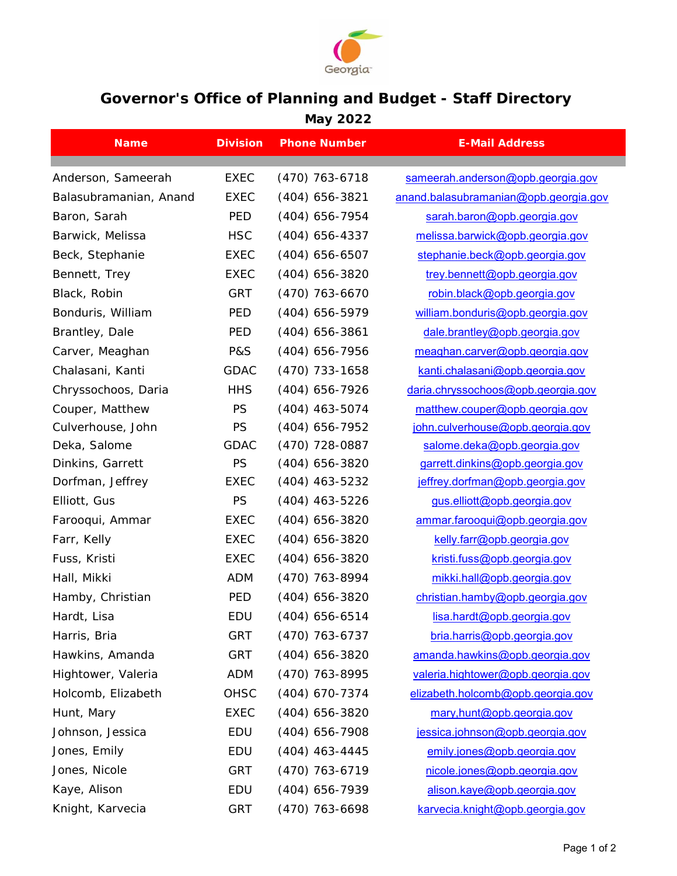

## **Governor's Office of Planning and Budget - Staff Directory May 2022**

| <b>Name</b>            | <b>Division</b>            | <b>Phone Number</b>                  | <b>E-Mail Address</b>                 |
|------------------------|----------------------------|--------------------------------------|---------------------------------------|
|                        |                            |                                      |                                       |
| Anderson, Sameerah     | <b>EXEC</b><br><b>EXEC</b> | $(470)$ 763-6718<br>$(404)$ 656-3821 | sameerah.anderson@opb.georgia.gov     |
| Balasubramanian, Anand |                            |                                      | anand.balasubramanian@opb.georgia.gov |
| Baron, Sarah           | <b>PED</b>                 | $(404)$ 656-7954                     | sarah.baron@opb.georgia.gov           |
| Barwick, Melissa       | <b>HSC</b>                 | $(404)$ 656-4337                     | melissa.barwick@opb.georgia.gov       |
| Beck, Stephanie        | <b>EXEC</b>                | $(404)$ 656-6507                     | stephanie.beck@opb.georgia.gov        |
| Bennett, Trey          | <b>EXEC</b>                | $(404)$ 656-3820                     | trey.bennett@opb.georgia.gov          |
| Black, Robin           | <b>GRT</b>                 | $(470)$ 763-6670                     | robin.black@opb.georgia.gov           |
| Bonduris, William      | PED                        | (404) 656-5979                       | william.bonduris@opb.georgia.gov      |
| Brantley, Dale         | PED                        | $(404)$ 656-3861                     | dale.brantley@opb.georgia.gov         |
| Carver, Meaghan        | <b>P&amp;S</b>             | (404) 656-7956                       | meaghan.carver@opb.georgia.gov        |
| Chalasani, Kanti       | <b>GDAC</b>                | $(470)$ 733-1658                     | kanti.chalasani@opb.georgia.gov       |
| Chryssochoos, Daria    | <b>HHS</b>                 | (404) 656-7926                       | daria.chryssochoos@opb.georgia.gov    |
| Couper, Matthew        | <b>PS</b>                  | $(404)$ 463-5074                     | matthew.couper@opb.georgia.gov        |
| Culverhouse, John      | PS                         | $(404)$ 656-7952                     | john.culverhouse@opb.georgia.gov      |
| Deka, Salome           | <b>GDAC</b>                | (470) 728-0887                       | salome.deka@opb.georgia.gov           |
| Dinkins, Garrett       | PS                         | $(404)$ 656-3820                     | garrett.dinkins@opb.georgia.gov       |
| Dorfman, Jeffrey       | <b>EXEC</b>                | $(404)$ 463-5232                     | jeffrey.dorfman@opb.georgia.gov       |
| Elliott, Gus           | PS                         | $(404)$ 463-5226                     | gus.elliott@opb.georgia.gov           |
| Farooqui, Ammar        | <b>EXEC</b>                | $(404)$ 656-3820                     | ammar.farooqui@opb.georgia.gov        |
| Farr, Kelly            | <b>EXEC</b>                | $(404)$ 656-3820                     | kelly.farr@opb.georgia.gov            |
| Fuss, Kristi           | <b>EXEC</b>                | $(404)$ 656-3820                     | kristi.fuss@opb.georgia.gov           |
| Hall, Mikki            | <b>ADM</b>                 | (470) 763-8994                       | mikki.hall@opb.georgia.gov            |
| Hamby, Christian       | PED                        | $(404)$ 656-3820                     | christian.hamby@opb.georgia.gov       |
| Hardt, Lisa            | EDU                        | $(404)$ 656-6514                     | lisa.hardt@opb.georgia.gov            |
| Harris, Bria           | <b>GRT</b>                 | $(470)$ 763-6737                     | bria.harris@opb.georgia.gov           |
| Hawkins, Amanda        | <b>GRT</b>                 | (404) 656-3820                       | amanda.hawkins@opb.georgia.gov        |
| Hightower, Valeria     | <b>ADM</b>                 | (470) 763-8995                       | valeria.hightower@opb.georgia.gov     |
| Holcomb, Elizabeth     | OHSC                       | (404) 670-7374                       | elizabeth.holcomb@opb.georgia.gov     |
| Hunt, Mary             | <b>EXEC</b>                | $(404)$ 656-3820                     | mary, hunt@opb.georgia.gov            |
| Johnson, Jessica       | EDU                        | $(404)$ 656-7908                     | jessica.johnson@opb.georgia.gov       |
| Jones, Emily           | EDU                        | $(404)$ 463-4445                     | emily.jones@opb.georgia.gov           |
| Jones, Nicole          | <b>GRT</b>                 | (470) 763-6719                       | nicole.jones@opb.georgia.gov          |
| Kaye, Alison           | EDU                        | (404) 656-7939                       | alison.kaye@opb.georgia.gov           |
| Knight, Karvecia       | <b>GRT</b>                 | (470) 763-6698                       | karvecia.knight@opb.georgia.gov       |
|                        |                            |                                      |                                       |